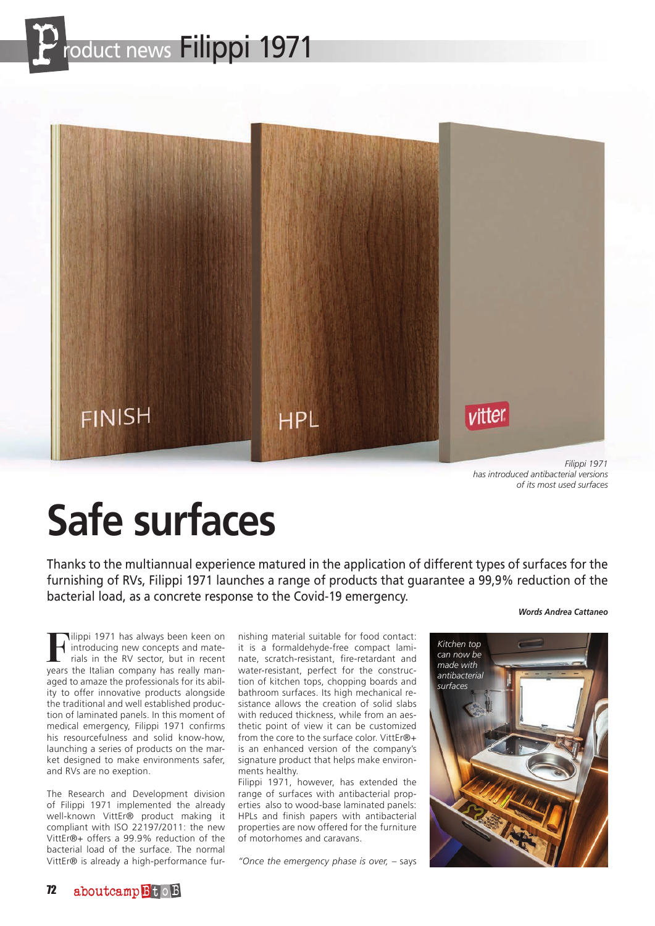



*Filippi 1971 has introduced antibacterial versions of its most used surfaces*

# **Safe surfaces**

Thanks to the multiannual experience matured in the application of different types of surfaces for the furnishing of RVs, Filippi 1971 launches a range of products that guarantee a 99,9% reduction of the bacterial load, as a concrete response to the Covid-19 emergency.

#### *Words Andrea Cattaneo*

Filippi 1971 has always been keen on<br>
rials in the RV sector, but in recent<br>
rials in the RV sector, but in recent<br>
vears the Italian company has really manintroducing new concepts and mateyears the Italian company has really managed to amaze the professionals for its ability to offer innovative products alongside the traditional and well established production of laminated panels. In this moment of medical emergency, Filippi 1971 confirms his resourcefulness and solid know-how, launching a series of products on the market designed to make environments safer, and RVs are no exeption.

The Research and Development division of Filippi 1971 implemented the already well-known VittEr® product making it compliant with ISO 22197/2011: the new VittEr®+ offers a 99.9% reduction of the bacterial load of the surface. The normal VittEr® is already a high-performance fur-

nishing material suitable for food contact: it is a formaldehyde-free compact laminate, scratch-resistant, fire-retardant and water-resistant, perfect for the construction of kitchen tops, chopping boards and bathroom surfaces. Its high mechanical resistance allows the creation of solid slabs with reduced thickness, while from an aesthetic point of view it can be customized from the core to the surface color. VittEr®+ is an enhanced version of the company's signature product that helps make environments healthy.

Filippi 1971, however, has extended the range of surfaces with antibacterial properties also to wood-base laminated panels: HPLs and finish papers with antibacterial properties are now offered for the furniture of motorhomes and caravans.

*"Once the emergency phase is over,* – says